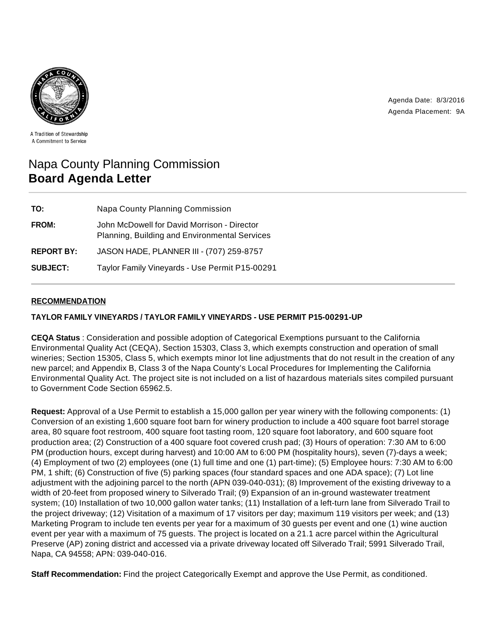Agenda Date: 8/3/2016 Agenda Placement: 9A



A Tradition of Stewardship A Commitment to Service

# Napa County Planning Commission **Board Agenda Letter**

| TO:               | <b>Napa County Planning Commission</b>                                                       |
|-------------------|----------------------------------------------------------------------------------------------|
| <b>FROM:</b>      | John McDowell for David Morrison - Director<br>Planning, Building and Environmental Services |
| <b>REPORT BY:</b> | JASON HADE, PLANNER III - (707) 259-8757                                                     |
| <b>SUBJECT:</b>   | Taylor Family Vineyards - Use Permit P15-00291                                               |

# **RECOMMENDATION**

## **TAYLOR FAMILY VINEYARDS / TAYLOR FAMILY VINEYARDS - USE PERMIT P15-00291-UP**

**CEQA Status** : Consideration and possible adoption of Categorical Exemptions pursuant to the California Environmental Quality Act (CEQA), Section 15303, Class 3, which exempts construction and operation of small wineries; Section 15305, Class 5, which exempts minor lot line adjustments that do not result in the creation of any new parcel; and Appendix B, Class 3 of the Napa County's Local Procedures for Implementing the California Environmental Quality Act. The project site is not included on a list of hazardous materials sites compiled pursuant to Government Code Section 65962.5.

**Request:** Approval of a Use Permit to establish a 15,000 gallon per year winery with the following components: (1) Conversion of an existing 1,600 square foot barn for winery production to include a 400 square foot barrel storage area, 80 square foot restroom, 400 square foot tasting room, 120 square foot laboratory, and 600 square foot production area; (2) Construction of a 400 square foot covered crush pad; (3) Hours of operation: 7:30 AM to 6:00 PM (production hours, except during harvest) and 10:00 AM to 6:00 PM (hospitality hours), seven (7)-days a week; (4) Employment of two (2) employees (one (1) full time and one (1) part-time); (5) Employee hours: 7:30 AM to 6:00 PM, 1 shift; (6) Construction of five (5) parking spaces (four standard spaces and one ADA space); (7) Lot line adjustment with the adjoining parcel to the north (APN 039-040-031); (8) Improvement of the existing driveway to a width of 20-feet from proposed winery to Silverado Trail; (9) Expansion of an in-ground wastewater treatment system; (10) Installation of two 10,000 gallon water tanks; (11) Installation of a left-turn lane from Silverado Trail to the project driveway; (12) Visitation of a maximum of 17 visitors per day; maximum 119 visitors per week; and (13) Marketing Program to include ten events per year for a maximum of 30 guests per event and one (1) wine auction event per year with a maximum of 75 guests. The project is located on a 21.1 acre parcel within the Agricultural Preserve (AP) zoning district and accessed via a private driveway located off Silverado Trail; 5991 Silverado Trail, Napa, CA 94558; APN: 039-040-016.

**Staff Recommendation:** Find the project Categorically Exempt and approve the Use Permit, as conditioned.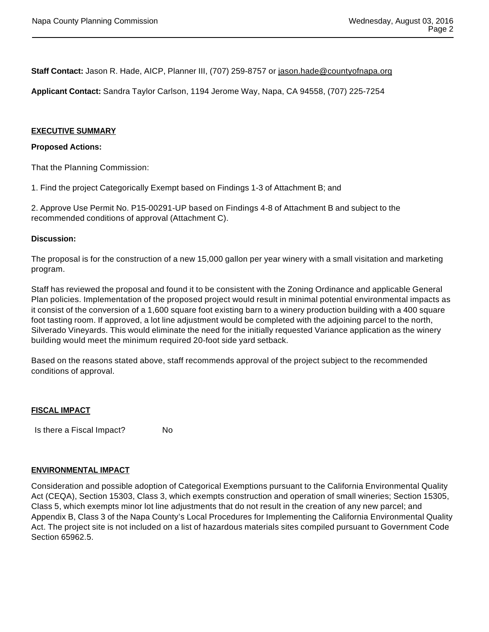**Staff Contact:** Jason R. Hade, AICP, Planner III, (707) 259-8757 or jason.hade@countyofnapa.org

**Applicant Contact:** Sandra Taylor Carlson, 1194 Jerome Way, Napa, CA 94558, (707) 225-7254

#### **EXECUTIVE SUMMARY**

#### **Proposed Actions:**

That the Planning Commission:

1. Find the project Categorically Exempt based on Findings 1-3 of Attachment B; and

2. Approve Use Permit No. P15-00291-UP based on Findings 4-8 of Attachment B and subject to the recommended conditions of approval (Attachment C).

#### **Discussion:**

The proposal is for the construction of a new 15,000 gallon per year winery with a small visitation and marketing program.

Staff has reviewed the proposal and found it to be consistent with the Zoning Ordinance and applicable General Plan policies. Implementation of the proposed project would result in minimal potential environmental impacts as it consist of the conversion of a 1,600 square foot existing barn to a winery production building with a 400 square foot tasting room. If approved, a lot line adjustment would be completed with the adjoining parcel to the north, Silverado Vineyards. This would eliminate the need for the initially requested Variance application as the winery building would meet the minimum required 20-foot side yard setback.

Based on the reasons stated above, staff recommends approval of the project subject to the recommended conditions of approval.

#### **FISCAL IMPACT**

Is there a Fiscal Impact? No

#### **ENVIRONMENTAL IMPACT**

Consideration and possible adoption of Categorical Exemptions pursuant to the California Environmental Quality Act (CEQA), Section 15303, Class 3, which exempts construction and operation of small wineries; Section 15305, Class 5, which exempts minor lot line adjustments that do not result in the creation of any new parcel; and Appendix B, Class 3 of the Napa County's Local Procedures for Implementing the California Environmental Quality Act. The project site is not included on a list of hazardous materials sites compiled pursuant to Government Code Section 65962.5.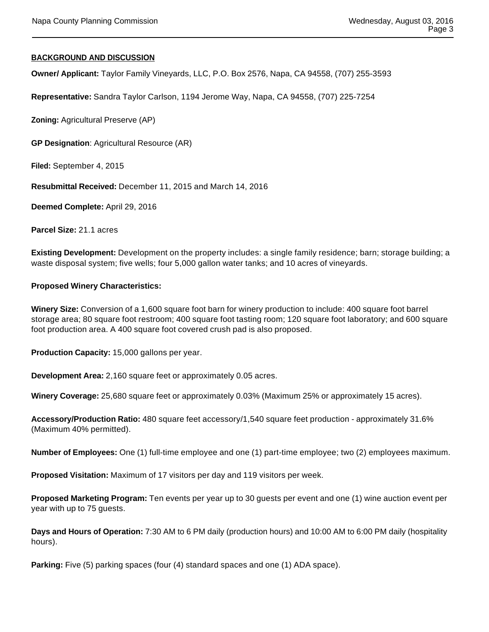#### **BACKGROUND AND DISCUSSION**

**Owner/ Applicant:** Taylor Family Vineyards, LLC, P.O. Box 2576, Napa, CA 94558, (707) 255-3593

**Representative:** Sandra Taylor Carlson, 1194 Jerome Way, Napa, CA 94558, (707) 225-7254

**Zoning:** Agricultural Preserve (AP)

**GP Designation**: Agricultural Resource (AR)

**Filed:** September 4, 2015

**Resubmittal Received:** December 11, 2015 and March 14, 2016

**Deemed Complete:** April 29, 2016

**Parcel Size:** 21.1 acres

**Existing Development:** Development on the property includes: a single family residence; barn; storage building; a waste disposal system; five wells; four 5,000 gallon water tanks; and 10 acres of vineyards.

#### **Proposed Winery Characteristics:**

**Winery Size:** Conversion of a 1,600 square foot barn for winery production to include: 400 square foot barrel storage area; 80 square foot restroom; 400 square foot tasting room; 120 square foot laboratory; and 600 square foot production area. A 400 square foot covered crush pad is also proposed.

**Production Capacity:** 15,000 gallons per year.

**Development Area:** 2,160 square feet or approximately 0.05 acres.

**Winery Coverage:** 25,680 square feet or approximately 0.03% (Maximum 25% or approximately 15 acres).

**Accessory/Production Ratio:** 480 square feet accessory/1,540 square feet production - approximately 31.6% (Maximum 40% permitted).

**Number of Employees:** One (1) full-time employee and one (1) part-time employee; two (2) employees maximum.

**Proposed Visitation:** Maximum of 17 visitors per day and 119 visitors per week.

**Proposed Marketing Program:** Ten events per year up to 30 guests per event and one (1) wine auction event per year with up to 75 guests.

**Days and Hours of Operation:** 7:30 AM to 6 PM daily (production hours) and 10:00 AM to 6:00 PM daily (hospitality hours).

**Parking:** Five (5) parking spaces (four (4) standard spaces and one (1) ADA space).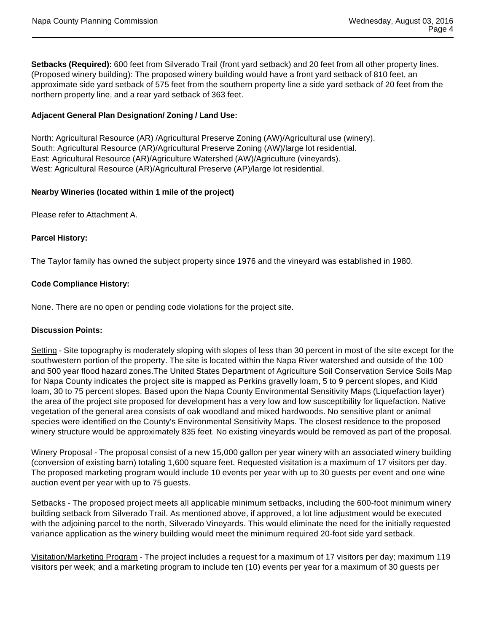**Setbacks (Required):** 600 feet from Silverado Trail (front yard setback) and 20 feet from all other property lines. (Proposed winery building): The proposed winery building would have a front yard setback of 810 feet, an approximate side yard setback of 575 feet from the southern property line a side yard setback of 20 feet from the northern property line, and a rear yard setback of 363 feet.

# **Adjacent General Plan Designation/ Zoning / Land Use:**

North: Agricultural Resource (AR) /Agricultural Preserve Zoning (AW)/Agricultural use (winery). South: Agricultural Resource (AR)/Agricultural Preserve Zoning (AW)/large lot residential. East: Agricultural Resource (AR)/Agriculture Watershed (AW)/Agriculture (vineyards). West: Agricultural Resource (AR)/Agricultural Preserve (AP)/large lot residential.

# **Nearby Wineries (located within 1 mile of the project)**

Please refer to Attachment A.

# **Parcel History:**

The Taylor family has owned the subject property since 1976 and the vineyard was established in 1980.

# **Code Compliance History:**

None. There are no open or pending code violations for the project site.

## **Discussion Points:**

Setting - Site topography is moderately sloping with slopes of less than 30 percent in most of the site except for the southwestern portion of the property. The site is located within the Napa River watershed and outside of the 100 and 500 year flood hazard zones.The United States Department of Agriculture Soil Conservation Service Soils Map for Napa County indicates the project site is mapped as Perkins gravelly loam, 5 to 9 percent slopes, and Kidd loam, 30 to 75 percent slopes. Based upon the Napa County Environmental Sensitivity Maps (Liquefaction layer) the area of the project site proposed for development has a very low and low susceptibility for liquefaction. Native vegetation of the general area consists of oak woodland and mixed hardwoods. No sensitive plant or animal species were identified on the County's Environmental Sensitivity Maps. The closest residence to the proposed winery structure would be approximately 835 feet. No existing vineyards would be removed as part of the proposal.

Winery Proposal - The proposal consist of a new 15,000 gallon per year winery with an associated winery building (conversion of existing barn) totaling 1,600 square feet. Requested visitation is a maximum of 17 visitors per day. The proposed marketing program would include 10 events per year with up to 30 guests per event and one wine auction event per year with up to 75 guests.

Setbacks - The proposed project meets all applicable minimum setbacks, including the 600-foot minimum winery building setback from Silverado Trail. As mentioned above, if approved, a lot line adjustment would be executed with the adjoining parcel to the north, Silverado Vineyards. This would eliminate the need for the initially requested variance application as the winery building would meet the minimum required 20-foot side yard setback.

Visitation/Marketing Program - The project includes a request for a maximum of 17 visitors per day; maximum 119 visitors per week; and a marketing program to include ten (10) events per year for a maximum of 30 guests per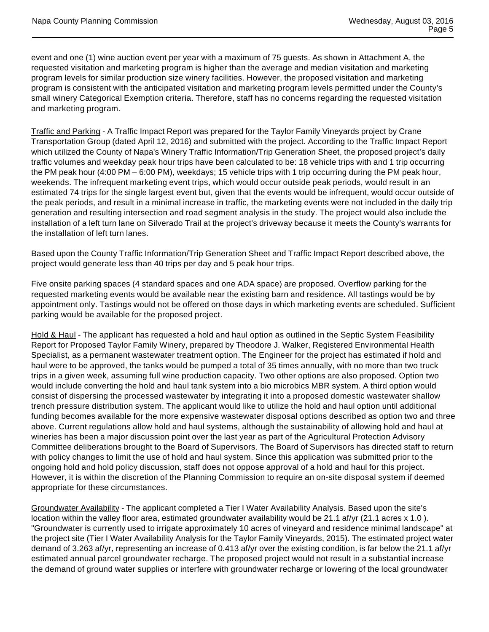event and one (1) wine auction event per year with a maximum of 75 guests. As shown in Attachment A, the requested visitation and marketing program is higher than the average and median visitation and marketing program levels for similar production size winery facilities. However, the proposed visitation and marketing program is consistent with the anticipated visitation and marketing program levels permitted under the County's small winery Categorical Exemption criteria. Therefore, staff has no concerns regarding the requested visitation and marketing program.

Traffic and Parking - A Traffic Impact Report was prepared for the Taylor Family Vineyards project by Crane Transportation Group (dated April 12, 2016) and submitted with the project. According to the Traffic Impact Report which utilized the County of Napa's Winery Traffic Information/Trip Generation Sheet, the proposed project's daily traffic volumes and weekday peak hour trips have been calculated to be: 18 vehicle trips with and 1 trip occurring the PM peak hour (4:00 PM – 6:00 PM), weekdays; 15 vehicle trips with 1 trip occurring during the PM peak hour, weekends. The infrequent marketing event trips, which would occur outside peak periods, would result in an estimated 74 trips for the single largest event but, given that the events would be infrequent, would occur outside of the peak periods, and result in a minimal increase in traffic, the marketing events were not included in the daily trip generation and resulting intersection and road segment analysis in the study. The project would also include the installation of a left turn lane on Silverado Trail at the project's driveway because it meets the County's warrants for the installation of left turn lanes.

Based upon the County Traffic Information/Trip Generation Sheet and Traffic Impact Report described above, the project would generate less than 40 trips per day and 5 peak hour trips.

Five onsite parking spaces (4 standard spaces and one ADA space) are proposed. Overflow parking for the requested marketing events would be available near the existing barn and residence. All tastings would be by appointment only. Tastings would not be offered on those days in which marketing events are scheduled. Sufficient parking would be available for the proposed project.

Hold & Haul - The applicant has requested a hold and haul option as outlined in the Septic System Feasibility Report for Proposed Taylor Family Winery, prepared by Theodore J. Walker, Registered Environmental Health Specialist, as a permanent wastewater treatment option. The Engineer for the project has estimated if hold and haul were to be approved, the tanks would be pumped a total of 35 times annually, with no more than two truck trips in a given week, assuming full wine production capacity. Two other options are also proposed. Option two would include converting the hold and haul tank system into a bio microbics MBR system. A third option would consist of dispersing the processed wastewater by integrating it into a proposed domestic wastewater shallow trench pressure distribution system. The applicant would like to utilize the hold and haul option until additional funding becomes available for the more expensive wastewater disposal options described as option two and three above. Current regulations allow hold and haul systems, although the sustainability of allowing hold and haul at wineries has been a major discussion point over the last year as part of the Agricultural Protection Advisory Committee deliberations brought to the Board of Supervisors. The Board of Supervisors has directed staff to return with policy changes to limit the use of hold and haul system. Since this application was submitted prior to the ongoing hold and hold policy discussion, staff does not oppose approval of a hold and haul for this project. However, it is within the discretion of the Planning Commission to require an on-site disposal system if deemed appropriate for these circumstances.

Groundwater Availability - The applicant completed a Tier I Water Availability Analysis. Based upon the site's location within the valley floor area, estimated groundwater availability would be 21.1 af/yr (21.1 acres x 1.0). "Groundwater is currently used to irrigate approximately 10 acres of vineyard and residence minimal landscape" at the project site (Tier I Water Availability Analysis for the Taylor Family Vineyards, 2015). The estimated project water demand of 3.263 af/yr, representing an increase of 0.413 af/yr over the existing condition, is far below the 21.1 af/yr estimated annual parcel groundwater recharge. The proposed project would not result in a substantial increase the demand of ground water supplies or interfere with groundwater recharge or lowering of the local groundwater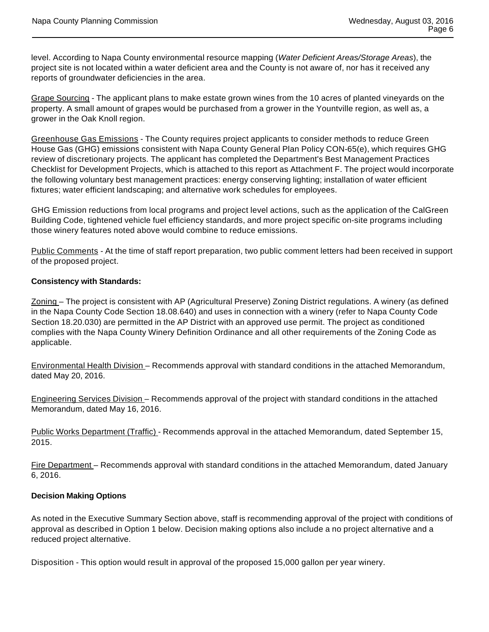level. According to Napa County environmental resource mapping (Water Deficient Areas/Storage Areas), the project site is not located within a water deficient area and the County is not aware of, nor has it received any reports of groundwater deficiencies in the area.

Grape Sourcing - The applicant plans to make estate grown wines from the 10 acres of planted vineyards on the property. A small amount of grapes would be purchased from a grower in the Yountville region, as well as, a grower in the Oak Knoll region.

Greenhouse Gas Emissions - The County requires project applicants to consider methods to reduce Green House Gas (GHG) emissions consistent with Napa County General Plan Policy CON-65(e), which requires GHG review of discretionary projects. The applicant has completed the Department's Best Management Practices Checklist for Development Projects, which is attached to this report as Attachment F. The project would incorporate the following voluntary best management practices: energy conserving lighting; installation of water efficient fixtures; water efficient landscaping; and alternative work schedules for employees.

GHG Emission reductions from local programs and project level actions, such as the application of the CalGreen Building Code, tightened vehicle fuel efficiency standards, and more project specific on-site programs including those winery features noted above would combine to reduce emissions.

Public Comments - At the time of staff report preparation, two public comment letters had been received in support of the proposed project.

# **Consistency with Standards:**

Zoning – The project is consistent with AP (Agricultural Preserve) Zoning District regulations. A winery (as defined in the Napa County Code Section 18.08.640) and uses in connection with a winery (refer to Napa County Code Section 18.20.030) are permitted in the AP District with an approved use permit. The project as conditioned complies with the Napa County Winery Definition Ordinance and all other requirements of the Zoning Code as applicable.

Environmental Health Division – Recommends approval with standard conditions in the attached Memorandum, dated May 20, 2016.

Engineering Services Division – Recommends approval of the project with standard conditions in the attached Memorandum, dated May 16, 2016.

Public Works Department (Traffic) - Recommends approval in the attached Memorandum, dated September 15, 2015.

Fire Department – Recommends approval with standard conditions in the attached Memorandum, dated January 6, 2016.

## **Decision Making Options**

As noted in the Executive Summary Section above, staff is recommending approval of the project with conditions of approval as described in Option 1 below. Decision making options also include a no project alternative and a reduced project alternative.

Disposition - This option would result in approval of the proposed 15,000 gallon per year winery.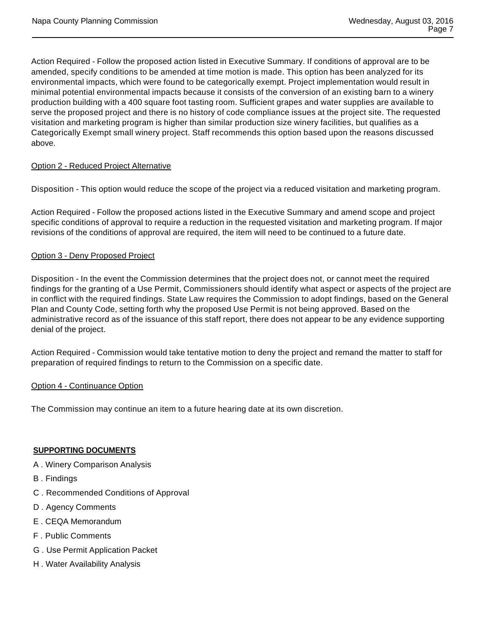Action Required - Follow the proposed action listed in Executive Summary. If conditions of approval are to be amended, specify conditions to be amended at time motion is made. This option has been analyzed for its environmental impacts, which were found to be categorically exempt. Project implementation would result in minimal potential environmental impacts because it consists of the conversion of an existing barn to a winery production building with a 400 square foot tasting room. Sufficient grapes and water supplies are available to serve the proposed project and there is no history of code compliance issues at the project site. The requested visitation and marketing program is higher than similar production size winery facilities, but qualifies as a Categorically Exempt small winery project. Staff recommends this option based upon the reasons discussed above.

# Option 2 - Reduced Project Alternative

Disposition - This option would reduce the scope of the project via a reduced visitation and marketing program.

Action Required - Follow the proposed actions listed in the Executive Summary and amend scope and project specific conditions of approval to require a reduction in the requested visitation and marketing program. If major revisions of the conditions of approval are required, the item will need to be continued to a future date.

## Option 3 - Deny Proposed Project

Disposition - In the event the Commission determines that the project does not, or cannot meet the required findings for the granting of a Use Permit, Commissioners should identify what aspect or aspects of the project are in conflict with the required findings. State Law requires the Commission to adopt findings, based on the General Plan and County Code, setting forth why the proposed Use Permit is not being approved. Based on the administrative record as of the issuance of this staff report, there does not appear to be any evidence supporting denial of the project.

Action Required - Commission would take tentative motion to deny the project and remand the matter to staff for preparation of required findings to return to the Commission on a specific date.

## Option 4 - Continuance Option

The Commission may continue an item to a future hearing date at its own discretion.

## **SUPPORTING DOCUMENTS**

- A . Winery Comparison Analysis
- B . Findings
- C . Recommended Conditions of Approval
- D . Agency Comments
- E . CEQA Memorandum
- F . Public Comments
- G . Use Permit Application Packet
- H . Water Availability Analysis